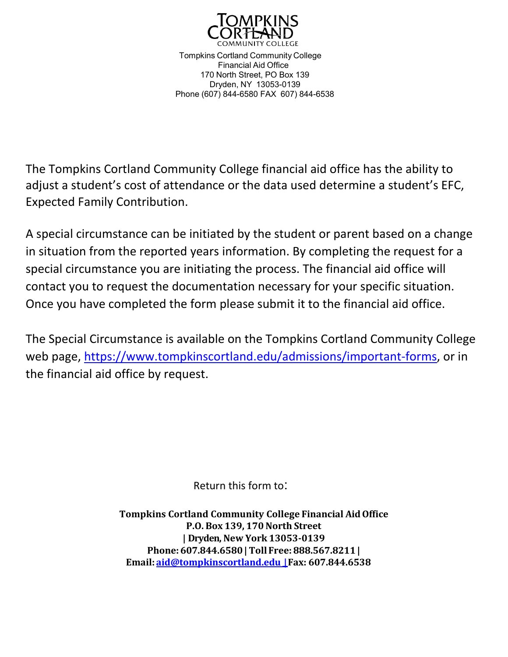

Tompkins Cortland Community College Financial Aid Office 170 North Street, PO Box 139 Dryden, NY 13053-0139 Phone (607) 844-6580 FAX 607) 844-6538

The Tompkins Cortland Community College financial aid office has the ability to adjust a student's cost of attendance or the data used determine a student's EFC, Expected Family Contribution.

A special circumstance can be initiated by the student or parent based on a change in situation from the reported years information. By completing the request for a special circumstance you are initiating the process. The financial aid office will contact you to request the documentation necessary for your specific situation. Once you have completed the form please submit it to the financial aid office.

The Special Circumstance is available on the Tompkins Cortland Community College web page, [https://www.tompkinscortland.edu/admissions/important-forms,](https://www.tompkinscortland.edu/admissions/important-forms) or in the financial aid office by request.

Return this form to:

**Tompkins Cortland Community College Financial AidOffice P.O. Box 139, 170North Street | Dryden, New York 13053-0139 Phone: 607.844.6580 | TollFree: 888.567.8211 | Email: [aid@tompkinscortland.edu](mailto:aid@tompkinscortland.edu) | Fax: 607.844.6538**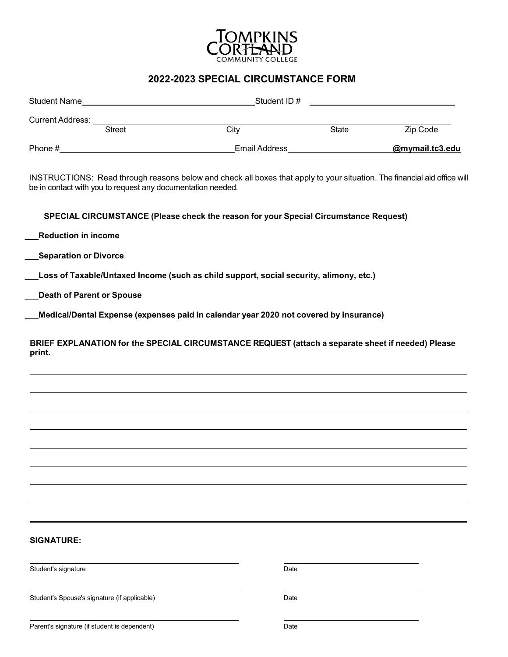

## **2022-2023 SPECIAL CIRCUMSTANCE FORM**

|                                                                                                                                                                                         | City | State | Zip Code        |  |  |
|-----------------------------------------------------------------------------------------------------------------------------------------------------------------------------------------|------|-------|-----------------|--|--|
|                                                                                                                                                                                         |      |       | @mymail.tc3.edu |  |  |
| INSTRUCTIONS: Read through reasons below and check all boxes that apply to your situation. The financial aid office will<br>be in contact with you to request any documentation needed. |      |       |                 |  |  |
| SPECIAL CIRCUMSTANCE (Please check the reason for your Special Circumstance Request)                                                                                                    |      |       |                 |  |  |
| <b>Reduction in income</b>                                                                                                                                                              |      |       |                 |  |  |
| <b>Separation or Divorce</b>                                                                                                                                                            |      |       |                 |  |  |
| Loss of Taxable/Untaxed Income (such as child support, social security, alimony, etc.)                                                                                                  |      |       |                 |  |  |
| <b>Death of Parent or Spouse</b>                                                                                                                                                        |      |       |                 |  |  |
| Medical/Dental Expense (expenses paid in calendar year 2020 not covered by insurance)                                                                                                   |      |       |                 |  |  |
| BRIEF EXPLANATION for the SPECIAL CIRCUMSTANCE REQUEST (attach a separate sheet if needed) Please<br>print.                                                                             |      |       |                 |  |  |
| <b>SIGNATURE:</b>                                                                                                                                                                       |      |       |                 |  |  |
| Student's signature                                                                                                                                                                     | Date |       |                 |  |  |
| Student's Spouse's signature (if applicable)                                                                                                                                            | Date |       |                 |  |  |
| Parent's signature (if student is dependent)                                                                                                                                            | Date |       |                 |  |  |